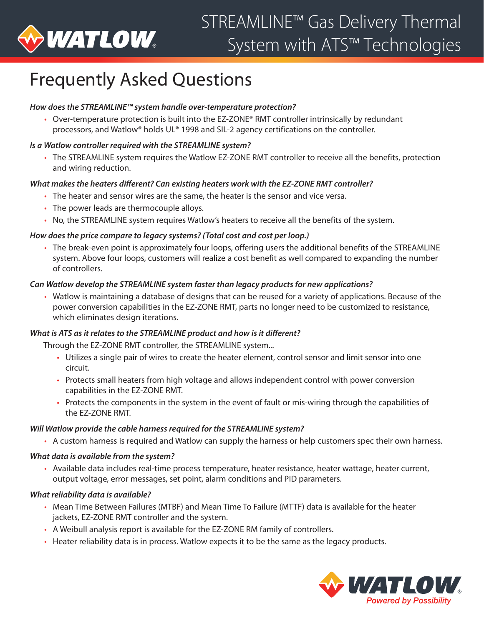

# Frequently Asked Questions

## *How does the STREAMLINE™ system handle over-temperature protection?*

• Over-temperature protection is built into the EZ-ZONE® RMT controller intrinsically by redundant processors, and Watlow® holds UL® 1998 and SIL-2 agency certifications on the controller.

## *Is a Watlow controller required with the STREAMLINE system?*

• The STREAMLINE system requires the Watlow EZ-ZONE RMT controller to receive all the benefits, protection and wiring reduction.

#### *What makes the heaters different? Can existing heaters work with the EZ-ZONE RMT controller?*

- The heater and sensor wires are the same, the heater is the sensor and vice versa.
- The power leads are thermocouple alloys.
- No, the STREAMLINE system requires Watlow's heaters to receive all the benefits of the system.

#### *How does the price compare to legacy systems? (Total cost and cost per loop.)*

• The break-even point is approximately four loops, offering users the additional benefits of the STREAMLINE system. Above four loops, customers will realize a cost benefit as well compared to expanding the number of controllers.

#### *Can Watlow develop the STREAMLINE system faster than legacy products for new applications?*

• Watlow is maintaining a database of designs that can be reused for a variety of applications. Because of the power conversion capabilities in the EZ-ZONE RMT, parts no longer need to be customized to resistance, which eliminates design iterations.

#### *What is ATS as it relates to the STREAMLINE product and how is it different?*

Through the EZ-ZONE RMT controller, the STREAMLINE system...

- Utilizes a single pair of wires to create the heater element, control sensor and limit sensor into one circuit.
- Protects small heaters from high voltage and allows independent control with power conversion capabilities in the EZ-ZONE RMT.
- Protects the components in the system in the event of fault or mis-wiring through the capabilities of the EZ-ZONE RMT.

#### *Will Watlow provide the cable harness required for the STREAMLINE system?*

• A custom harness is required and Watlow can supply the harness or help customers spec their own harness.

#### *What data is available from the system?*

• Available data includes real-time process temperature, heater resistance, heater wattage, heater current, output voltage, error messages, set point, alarm conditions and PID parameters.

#### *What reliability data is available?*

- Mean Time Between Failures (MTBF) and Mean Time To Failure (MTTF) data is available for the heater jackets, EZ-ZONE RMT controller and the system.
- A Weibull analysis report is available for the EZ-ZONE RM family of controllers.
- Heater reliability data is in process. Watlow expects it to be the same as the legacy products.